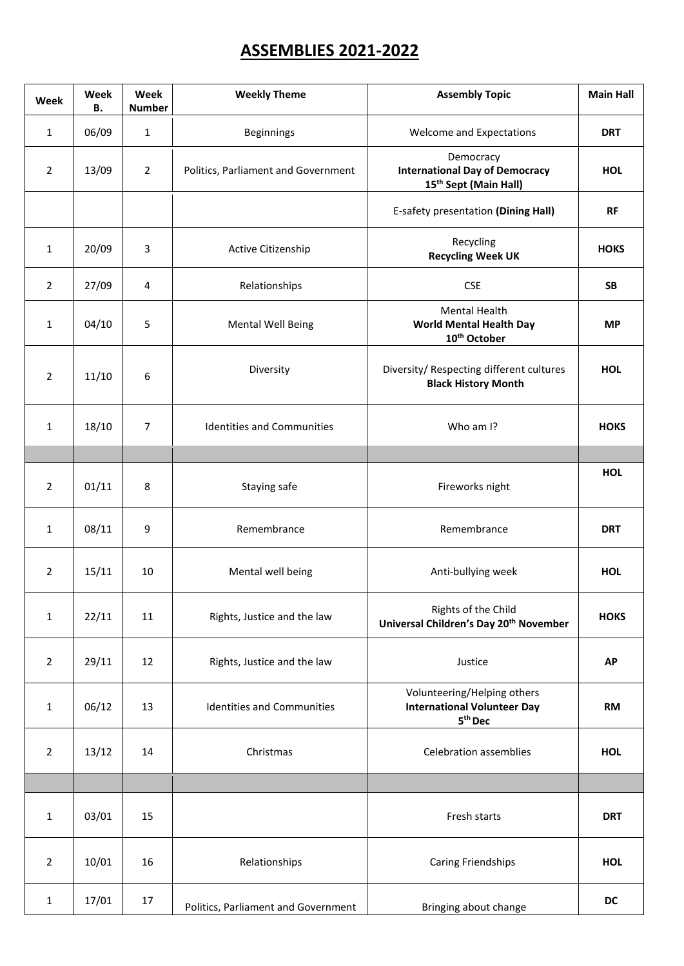## **ASSEMBLIES 2021-2022**

| Week           | Week<br>В. | Week<br><b>Number</b> | <b>Weekly Theme</b>                 | <b>Assembly Topic</b>                                                                    | <b>Main Hall</b> |
|----------------|------------|-----------------------|-------------------------------------|------------------------------------------------------------------------------------------|------------------|
| $\mathbf{1}$   | 06/09      | $\mathbf{1}$          | <b>Beginnings</b>                   | Welcome and Expectations                                                                 | <b>DRT</b>       |
| $\overline{2}$ | 13/09      | $\overline{2}$        | Politics, Parliament and Government | Democracy<br><b>International Day of Democracy</b><br>15 <sup>th</sup> Sept (Main Hall)  | <b>HOL</b>       |
|                |            |                       |                                     | E-safety presentation (Dining Hall)                                                      | <b>RF</b>        |
| $\mathbf{1}$   | 20/09      | 3                     | Active Citizenship                  | Recycling<br><b>Recycling Week UK</b>                                                    | <b>HOKS</b>      |
| $\overline{2}$ | 27/09      | 4                     | Relationships                       | <b>CSE</b>                                                                               | <b>SB</b>        |
| $\mathbf{1}$   | 04/10      | 5                     | <b>Mental Well Being</b>            | Mental Health<br><b>World Mental Health Day</b><br>10 <sup>th</sup> October              | <b>MP</b>        |
| $\overline{2}$ | 11/10      | 6                     | Diversity                           | Diversity/ Respecting different cultures<br><b>Black History Month</b>                   | <b>HOL</b>       |
| $\mathbf{1}$   | 18/10      | $\overline{7}$        | <b>Identities and Communities</b>   | Who am I?                                                                                | <b>HOKS</b>      |
|                |            |                       |                                     |                                                                                          |                  |
| $\overline{2}$ | 01/11      | 8                     | Staying safe                        | Fireworks night                                                                          | <b>HOL</b>       |
| $\mathbf{1}$   | 08/11      | 9                     | Remembrance                         | Remembrance                                                                              | <b>DRT</b>       |
| $\overline{2}$ | 15/11      | 10                    | Mental well being                   | Anti-bullying week                                                                       | <b>HOL</b>       |
| $\mathbf{1}$   | 22/11      | 11                    | Rights, Justice and the law         | Rights of the Child<br>Universal Children's Day 20 <sup>th</sup> November                | <b>HOKS</b>      |
| $\overline{2}$ | 29/11      | 12                    | Rights, Justice and the law         | Justice                                                                                  | <b>AP</b>        |
| $\mathbf 1$    | 06/12      | 13                    | Identities and Communities          | Volunteering/Helping others<br><b>International Volunteer Day</b><br>5 <sup>th</sup> Dec | <b>RM</b>        |
| $\overline{2}$ | 13/12      | 14                    | Christmas                           | <b>Celebration assemblies</b>                                                            | <b>HOL</b>       |
|                |            |                       |                                     |                                                                                          |                  |
| $\mathbf{1}$   | 03/01      | 15                    |                                     | Fresh starts                                                                             | <b>DRT</b>       |
| $\overline{2}$ | 10/01      | 16                    | Relationships                       | Caring Friendships                                                                       | <b>HOL</b>       |
| $\mathbf{1}$   | 17/01      | 17                    | Politics, Parliament and Government | Bringing about change                                                                    | DC               |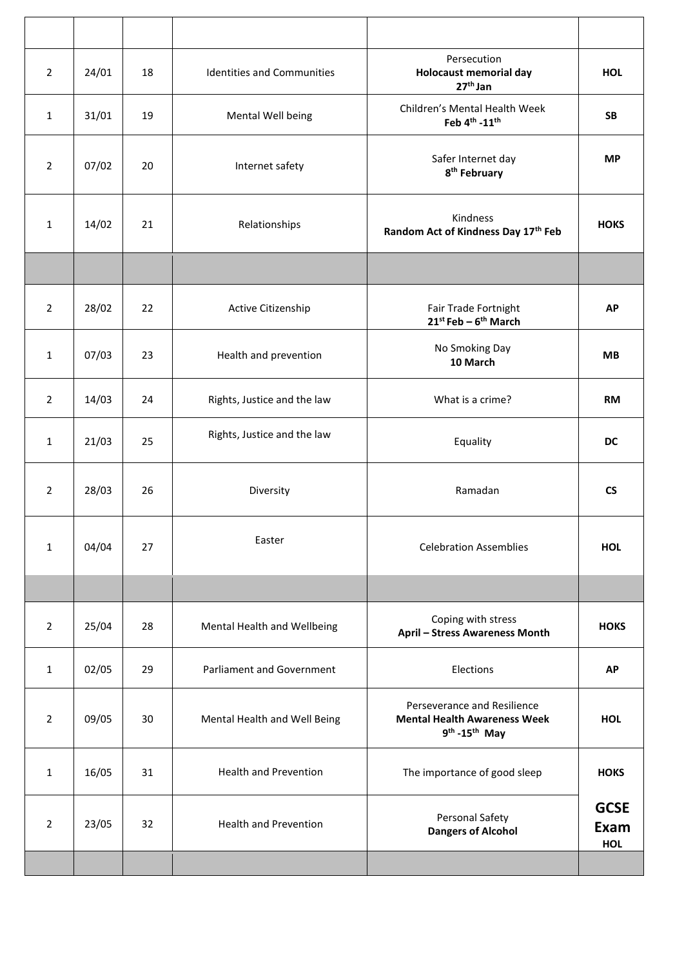| $\overline{2}$ | 24/01 | 18 | <b>Identities and Communities</b> | Persecution<br><b>Holocaust memorial day</b><br>$27th$ Jan                             | <b>HOL</b>                        |
|----------------|-------|----|-----------------------------------|----------------------------------------------------------------------------------------|-----------------------------------|
| $\mathbf{1}$   | 31/01 | 19 | Mental Well being                 | Children's Mental Health Week<br>Feb 4 <sup>th</sup> -11 <sup>th</sup>                 | <b>SB</b>                         |
| $\overline{2}$ | 07/02 | 20 | Internet safety                   | Safer Internet day<br>8 <sup>th</sup> February                                         | <b>MP</b>                         |
| $\mathbf{1}$   | 14/02 | 21 | Relationships                     | Kindness<br>Random Act of Kindness Day 17th Feb                                        | <b>HOKS</b>                       |
|                |       |    |                                   |                                                                                        |                                   |
| $\overline{2}$ | 28/02 | 22 | Active Citizenship                | Fair Trade Fortnight<br>$21^{st}$ Feb - $6^{th}$ March                                 | <b>AP</b>                         |
| $\mathbf{1}$   | 07/03 | 23 | Health and prevention             | No Smoking Day<br>10 March                                                             | <b>MB</b>                         |
| $\overline{2}$ | 14/03 | 24 | Rights, Justice and the law       | What is a crime?                                                                       | <b>RM</b>                         |
| $\mathbf{1}$   | 21/03 | 25 | Rights, Justice and the law       | Equality                                                                               | <b>DC</b>                         |
| $\overline{2}$ | 28/03 | 26 | Diversity                         | Ramadan                                                                                | <b>CS</b>                         |
| $\mathbf{1}$   | 04/04 | 27 | Easter                            | <b>Celebration Assemblies</b>                                                          | <b>HOL</b>                        |
|                |       |    |                                   |                                                                                        |                                   |
| $\overline{2}$ | 25/04 | 28 | Mental Health and Wellbeing       | Coping with stress<br><b>April - Stress Awareness Month</b>                            | <b>HOKS</b>                       |
| $\mathbf{1}$   | 02/05 | 29 | <b>Parliament and Government</b>  | Elections                                                                              | <b>AP</b>                         |
| $\overline{2}$ | 09/05 | 30 | Mental Health and Well Being      | Perseverance and Resilience<br><b>Mental Health Awareness Week</b><br>$9th - 15th$ May | <b>HOL</b>                        |
| $\mathbf{1}$   | 16/05 | 31 | <b>Health and Prevention</b>      | The importance of good sleep                                                           | <b>HOKS</b>                       |
| $\overline{2}$ | 23/05 | 32 | <b>Health and Prevention</b>      | Personal Safety<br><b>Dangers of Alcohol</b>                                           | <b>GCSE</b><br><b>Exam</b><br>HOL |
|                |       |    |                                   |                                                                                        |                                   |